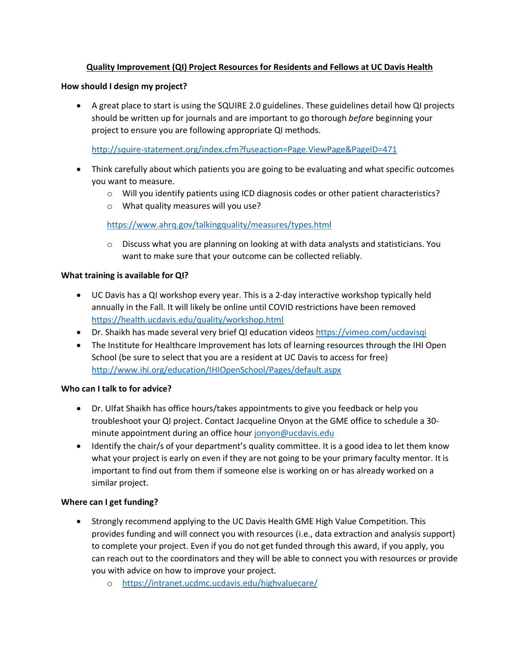# **Quality Improvement (QI) Project Resources for Residents and Fellows at UC Davis Health**

## **How should I design my project?**

• A great place to start is using the SQUIRE 2.0 guidelines. These guidelines detail how QI projects should be written up for journals and are important to go thorough *before* beginning your project to ensure you are following appropriate QI methods.

<http://squire-statement.org/index.cfm?fuseaction=Page.ViewPage&PageID=471>

- Think carefully about which patients you are going to be evaluating and what specific outcomes you want to measure.
	- o Will you identify patients using ICD diagnosis codes or other patient characteristics?
	- o What quality measures will you use?

<https://www.ahrq.gov/talkingquality/measures/types.html>

 $\circ$  Discuss what you are planning on looking at with data analysts and statisticians. You want to make sure that your outcome can be collected reliably.

## **What training is available for QI?**

- UC Davis has a QI workshop every year. This is a 2-day interactive workshop typically held annually in the Fall. It will likely be online until COVID restrictions have been removed <https://health.ucdavis.edu/quality/workshop.html>
- Dr. Shaikh has made several very brief QI education videos<https://vimeo.com/ucdavisqi>
- The Institute for Healthcare Improvement has lots of learning resources through the IHI Open School (be sure to select that you are a resident at UC Davis to access for free) <http://www.ihi.org/education/IHIOpenSchool/Pages/default.aspx>

### **Who can I talk to for advice?**

- Dr. Ulfat Shaikh has office hours/takes appointments to give you feedback or help you troubleshoot your QI project. Contact Jacqueline Onyon at the GME office to schedule a 30 minute appointment during an office hour [jonyon@ucdavis.edu](mailto:jonyon@ucdavis.edu)
- Identify the chair/s of your department's quality committee. It is a good idea to let them know what your project is early on even if they are not going to be your primary faculty mentor. It is important to find out from them if someone else is working on or has already worked on a similar project.

# **Where can I get funding?**

- Strongly recommend applying to the UC Davis Health GME High Value Competition. This provides funding and will connect you with resources (i.e., data extraction and analysis support) to complete your project. Even if you do not get funded through this award, if you apply, you can reach out to the coordinators and they will be able to connect you with resources or provide you with advice on how to improve your project.
	- o <https://intranet.ucdmc.ucdavis.edu/highvaluecare/>